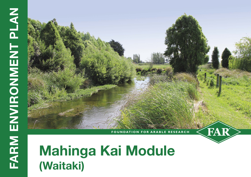# **Mahinga Kai Module (Waitaki)**

**FOUNDATION FOR ARABLE RESEARCH**

FAR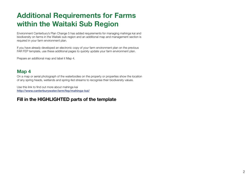## **Additional Requirements for Farms within the Waitaki Sub Region**

Environment Canterbury's Plan Change 5 has added requirements for managing mahinga kai and biodiversity on farms in the Waitaki sub-region and an additional map and management section is required in your farm environment plan.

If you have already developed an electronic copy of your farm environment plan on the previous FAR FEP template, use these additional pages to quickly update your farm environment plan.

Prepare an additional map and label it Map 4.

#### **Map 4**

On a map or aerial photograph of the waterbodies on the property or properties show the location of any spring heads, wetlands and spring-fed streams to recognise their biodiversity values.

Use this link to find out more about mahinga kai **<http://www.canterburywater.farm/fep/mahinga-kai/>**

#### **Fill in the HIGHLIGHTED parts of the template**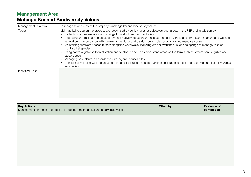### **Management Area**

#### **Mahinga Kai and Biodiversity Values**

| Management Objective    | To recognise and protect the property's mahinga kai and biodiversity values.                                                                                                                                                                                                                                                                                                                                                                                                                                                                                                                                                                                                                                                                                                                                                                                                                                                                                                                               |
|-------------------------|------------------------------------------------------------------------------------------------------------------------------------------------------------------------------------------------------------------------------------------------------------------------------------------------------------------------------------------------------------------------------------------------------------------------------------------------------------------------------------------------------------------------------------------------------------------------------------------------------------------------------------------------------------------------------------------------------------------------------------------------------------------------------------------------------------------------------------------------------------------------------------------------------------------------------------------------------------------------------------------------------------|
| Target                  | Mahinga kai values on the property are recognised by achieving other objectives and targets in the FEP and in addition by:<br>Protecting natural wetlands and springs from stock and farm activities.<br>Protecting and maintaining areas of remnant native vegetation and habitat, particularly trees and shrubs and riparian, and wetland<br>vegetation, in accordance with the relevant regional and district council rules or any granted resource consent.<br>Maintaining sufficient riparian buffers alongside waterways (including drains), wetlands, lakes and springs to manage risks on<br>mahinga kai species.<br>Using native vegetation for restoration and to stabilise soil in erosion prone areas on the farm such as stream banks, gullies and<br>steep slopes.<br>Managing pest plants in accordance with regional council rules.<br>Consider developing wetland areas to treat and filter runoff, absorb nutrients and trap sediment and to provide habitat for mahinga<br>kai species. |
| <b>Identified Risks</b> |                                                                                                                                                                                                                                                                                                                                                                                                                                                                                                                                                                                                                                                                                                                                                                                                                                                                                                                                                                                                            |

| <b>Key Actions</b><br>Management changes to protect the property's mahinga kai and biodiversity values. | When by | <b>Evidence of</b><br>completion |
|---------------------------------------------------------------------------------------------------------|---------|----------------------------------|
|                                                                                                         |         |                                  |
|                                                                                                         |         |                                  |
|                                                                                                         |         |                                  |
|                                                                                                         |         |                                  |
|                                                                                                         |         |                                  |